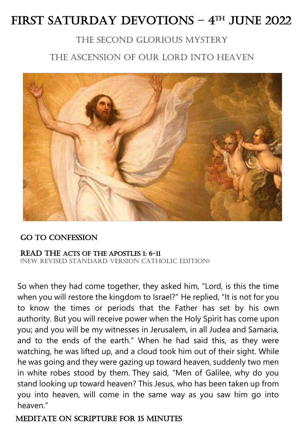# FIRST SATURDAY DEVOTIONS - 4TH JUNE 2022

# The Second glorious mystery

# The Ascension of Our Lord into heaven



## Go to Confession

#### Read the Acts of the Apostles 1: 6-11

(New Revised Standard Version Catholic Edition)

So when they had come together, they asked him, "Lord, is this the time when you will restore the kingdom to Israel?" He replied, "It is not for you to know the times or periods that the Father has set by his own authority. But you will receive power when the Holy Spirit has come upon you; and you will be my witnesses in Jerusalem, in all Judea and Samaria, and to the ends of the earth." When he had said this, as they were watching, he was lifted up, and a cloud took him out of their sight. While he was going and they were gazing up toward heaven, suddenly two men in white robes stood by them. They said, "Men of Galilee, why do you stand looking up toward heaven? This Jesus, who has been taken up from you into heaven, will come in the same way as you saw him go into heaven."

## Meditate On scripture for 15 minutes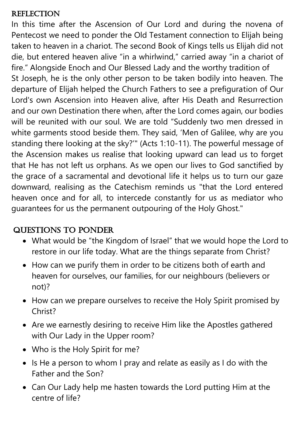## **REFLECTION**

In this time after the Ascension of Our Lord and during the novena of Pentecost we need to ponder the Old Testament connection to Elijah being taken to heaven in a chariot. The second Book of Kings tells us Elijah did not die, but entered heaven alive "in a whirlwind," carried away "in a chariot of fire." Alongside Enoch and Our Blessed Lady and the worthy tradition of St Joseph, he is the only other person to be taken bodily into heaven. The departure of Elijah helped the Church Fathers to see a prefiguration of Our Lord's own Ascension into Heaven alive, after His Death and Resurrection and our own Destination there when, after the Lord comes again, our bodies will be reunited with our soul. We are told "Suddenly two men dressed in white garments stood beside them. They said, 'Men of Galilee, why are you standing there looking at the sky?'" (Acts 1:10-11). The powerful message of the Ascension makes us realise that looking upward can lead us to forget that He has not left us orphans. As we open our lives to God sanctified by the grace of a sacramental and devotional life it helps us to turn our gaze downward, realising as the Catechism reminds us "that the Lord entered heaven once and for all, to intercede constantly for us as mediator who guarantees for us the permanent outpouring of the Holy Ghost."

# Questions to ponder

- What would be "the Kingdom of Israel" that we would hope the Lord to restore in our life today. What are the things separate from Christ?
- How can we purify them in order to be citizens both of earth and heaven for ourselves, our families, for our neighbours (believers or not)?
- How can we prepare ourselves to receive the Holy Spirit promised by Christ?
- Are we earnestly desiring to receive Him like the Apostles gathered with Our Lady in the Upper room?
- Who is the Holy Spirit for me?
- Is He a person to whom I pray and relate as easily as I do with the Father and the Son?
- Can Our Lady help me hasten towards the Lord putting Him at the centre of life?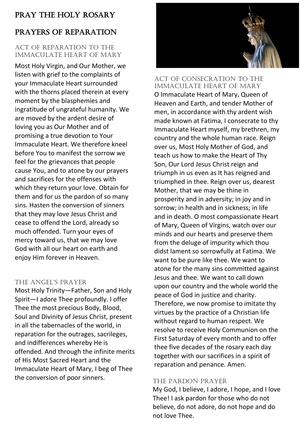## Pray the holy rosary

# Prayers of Reparation

### Act of Reparation to the Immaculate Heart of Mary

Most Holy Virgin, and Our Mother, we listen with grief to the complaints of your Immaculate Heart surrounded with the thorns placed therein at every moment by the blasphemies and ingratitude of ungrateful humanity. We are moved by the ardent desire of loving you as Our Mother and of promising a true devotion to Your Immaculate Heart. We therefore kneel before You to manifest the sorrow we feel for the grievances that people cause You, and to atone by our prayers and sacrifices for the offenses with which they return your love. Obtain for them and for us the pardon of so many sins. Hasten the conversion of sinners that they may love Jesus Christ and cease to offend the Lord, already so much offended. Turn your eyes of mercy toward us, that we may love God with all our heart on earth and enjoy Him forever in Heaven.

## The Angel's PrAyer

Most Holy Trinity—Father, Son and Holy Spirit—I adore Thee profoundly. I offer Thee the most precious Body, Blood, Soul and Divinity of Jesus Christ, present in all the tabernacles of the world, in reparation for the outrages, sacrileges, and indifferences whereby He is offended. And through the infinite merits of His Most Sacred Heart and the Immaculate Heart of Mary, I beg of Thee the conversion of poor sinners.



### Act of Consecration to the Immaculate Heart of Mary O Immaculate Heart of Mary, Queen of Heaven and Earth, and tender Mother of men, in accordance with thy ardent wish made known at Fatima, I consecrate to thy Immaculate Heart myself, my brethren, my country and the whole human race. Reign over us, Most Holy Mother of God, and teach us how to make the Heart of Thy Son, Our Lord Jesus Christ reign and triumph in us even as It has reigned and triumphed in thee. Reign over us, dearest Mother, that we may be thine in prosperity and in adversity; in joy and in sorrow; in health and in sickness; in life and in death. O most compassionate Heart of Mary, Queen of Virgins, watch over our minds and our hearts and preserve them from the deluge of impurity which thou didst lament so sorrowfully at Fatima. We want to be pure like thee. We want to atone for the many sins committed against Jesus and thee. We want to call down upon our country and the whole world the peace of God in justice and charity. Therefore, we now promise to imitate thy virtues by the practice of a Christian life without regard to human respect. We resolve to receive Holy Communion on the First Saturday of every month and to offer thee five decades of the rosary each day together with our sacrifices in a spirit of reparation and penance. Amen.

## The Pardon Prayer

My God, I believe, I adore, I hope, and I love Thee! I ask pardon for those who do not believe, do not adore, do not hope and do not love Thee.